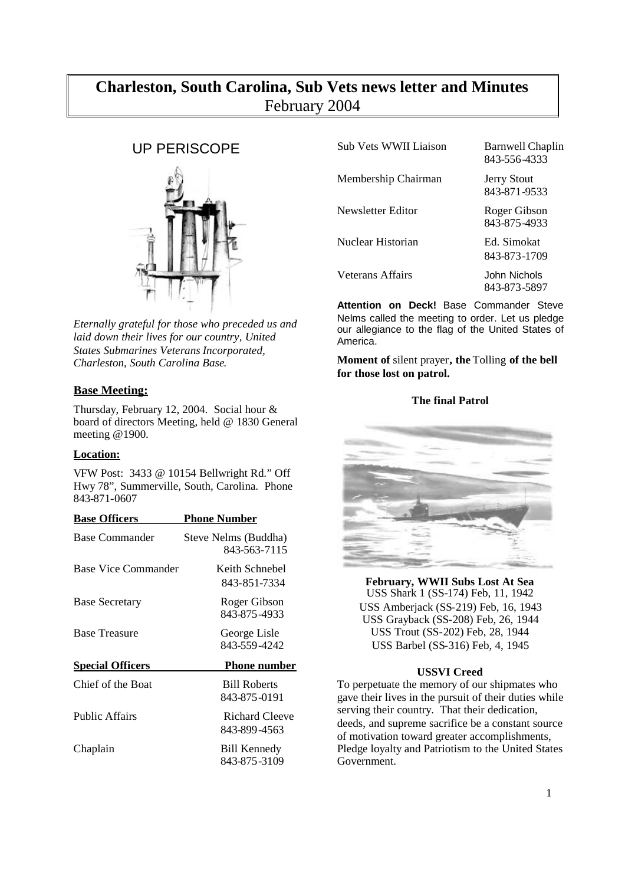# **Charleston, South Carolina, Sub Vets news letter and Minutes** February 2004

# UP PERISCOPE



*Eternally grateful for those who preceded us and laid down their lives for our country, United States Submarines Veterans Incorporated, Charleston, South Carolina Base*.

# **Base Meeting:**

Thursday, February 12, 2004. Social hour & board of directors Meeting, held @ 1830 General meeting @1900.

# **Location:**

VFW Post: 3433 @ 10154 Bellwright Rd." Off Hwy 78", Summerville, South, Carolina. Phone 843-871-0607

| <b>Base Officers</b>    | <b>Phone Number</b>                  |
|-------------------------|--------------------------------------|
| Base Commander          | Steve Nelms (Buddha)<br>843-563-7115 |
| Base Vice Commander     | Keith Schnebel<br>843-851-7334       |
| <b>Base Secretary</b>   | Roger Gibson<br>843-875-4933         |
| <b>Base Treasure</b>    | George Lisle<br>843-559-4242         |
| <b>Special Officers</b> | <b>Phone number</b>                  |
| Chief of the Boat       | <b>Bill Roberts</b><br>843-875-0191  |
| <b>Public Affairs</b>   | Richard Cleeve<br>843-899-4563       |
| Chaplain                | <b>Bill Kennedy</b><br>843-875-3109  |

| Sub Vets WWII Liaison | <b>Barnwell Chaplin</b><br>843-556-4333 |
|-----------------------|-----------------------------------------|
| Membership Chairman   | <b>Jerry Stout</b><br>843-871-9533      |
| Newsletter Editor     | Roger Gibson<br>843-875-4933            |
| Nuclear Historian     | Ed. Simokat<br>843-873-1709             |
| Veterans Affairs      | John Nichols<br>843-873-5897            |

**Attention on Deck!** Base Commander Steve Nelms called the meeting to order. Let us pledge our allegiance to the flag of the United States of America.

**Moment of** silent prayer**, the** Tolling **of the bell for those lost on patrol.**

## **The final Patrol**



**February, WWII Subs Lost At Sea** USS Shark 1 (SS-174) Feb, 11, 1942 USS Amberjack (SS-219) Feb, 16, 1943 USS Grayback (SS-208) Feb, 26, 1944 USS Trout (SS-202) Feb, 28, 1944 USS Barbel (SS-316) Feb, 4, 1945

## **USSVI Creed**

To perpetuate the memory of our shipmates who gave their lives in the pursuit of their duties while serving their country. That their dedication, deeds, and supreme sacrifice be a constant source of motivation toward greater accomplishments, Pledge loyalty and Patriotism to the United States Government.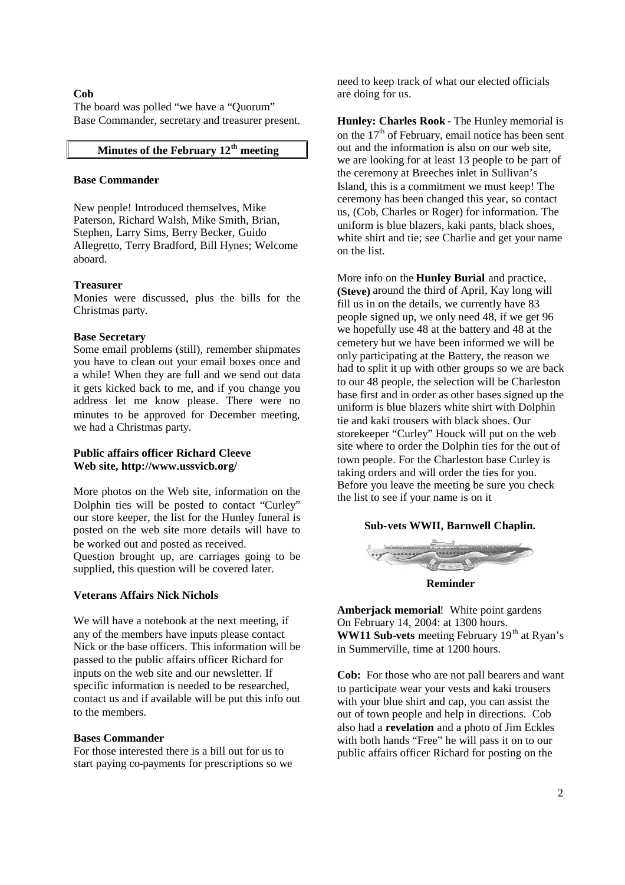#### **Cob**

The board was polled "we have a "Quorum" Base Commander, secretary and treasurer present.

# **Minutes of the February 12th meeting**

#### **Base Commander**

New people! Introduced themselves, Mike Paterson, Richard Walsh, Mike Smith, Brian, Stephen, Larry Sims, Berry Becker, Guido Allegretto, Terry Bradford, Bill Hynes; Welcome aboard.

#### **Treasurer**

Monies were discussed, plus the bills for the Christmas party.

#### **Base Secretary**

Some email problems (still), remember shipmates you have to clean out your email boxes once and a while! When they are full and we send out data it gets kicked back to me, and if you change you address let me know please. There were no minutes to be approved for December meeting, we had a Christmas party.

## **Public affairs officer Richard Cleeve Web site, http://www.ussvicb.org/**

More photos on the Web site, information on the Dolphin ties will be posted to contact "Curley" our store keeper, the list for the Hunley funeral is posted on the web site more details will have to be worked out and posted as received. Question brought up, are carriages going to be supplied, this question will be covered later.

#### **Veterans Affairs Nick Nichols**

We will have a notebook at the next meeting, if any of the members have inputs please contact Nick or the base officers. This information will be passed to the public affairs officer Richard for inputs on the web site and our newsletter. If specific information is needed to be researched, contact us and if available will be put this info out to the members.

#### **Bases Commander**

For those interested there is a bill out for us to start paying co-payments for prescriptions so we need to keep track of what our elected officials are doing for us.

**Hunley: Charles Rook -** The Hunley memorial is on the  $17<sup>th</sup>$  of February, email notice has been sent out and the information is also on our web site, we are looking for at least 13 people to be part of the ceremony at Breeches inlet in Sullivan's Island, this is a commitment we must keep! The ceremony has been changed this year, so contact us, (Cob, Charles or Roger) for information. The uniform is blue blazers, kaki pants, black shoes, white shirt and tie; see Charlie and get your name on the list.

More info on the **Hunley Burial** and practice, **(Steve)** around the third of April, Kay long will fill us in on the details, we currently have 83 people signed up, we only need 48, if we get 96 we hopefully use 48 at the battery and 48 at the cemetery but we have been informed we will be only participating at the Battery, the reason we had to split it up with other groups so we are back to our 48 people, the selection will be Charleston base first and in order as other bases signed up the uniform is blue blazers white shirt with Dolphin tie and kaki trousers with black shoes. Our storekeeper "Curley" Houck will put on the web site where to order the Dolphin ties for the out of town people. For the Charleston base Curley is taking orders and will order the ties for you. Before you leave the meeting be sure you check the list to see if your name is on it

#### **Sub-vets WWII, Barnwell Chaplin.**



**Reminder**

**Amberjack memorial**! White point gardens On February 14, 2004: at 1300 hours. **WW11 Sub-vets** meeting February 19<sup>th</sup> at Ryan's in Summerville, time at 1200 hours.

**Cob:** For those who are not pall bearers and want to participate wear your vests and kaki trousers with your blue shirt and cap, you can assist the out of town people and help in directions. Cob also had a **revelation** and a photo of Jim Eckles with both hands "Free" he will pass it on to our public affairs officer Richard for posting on the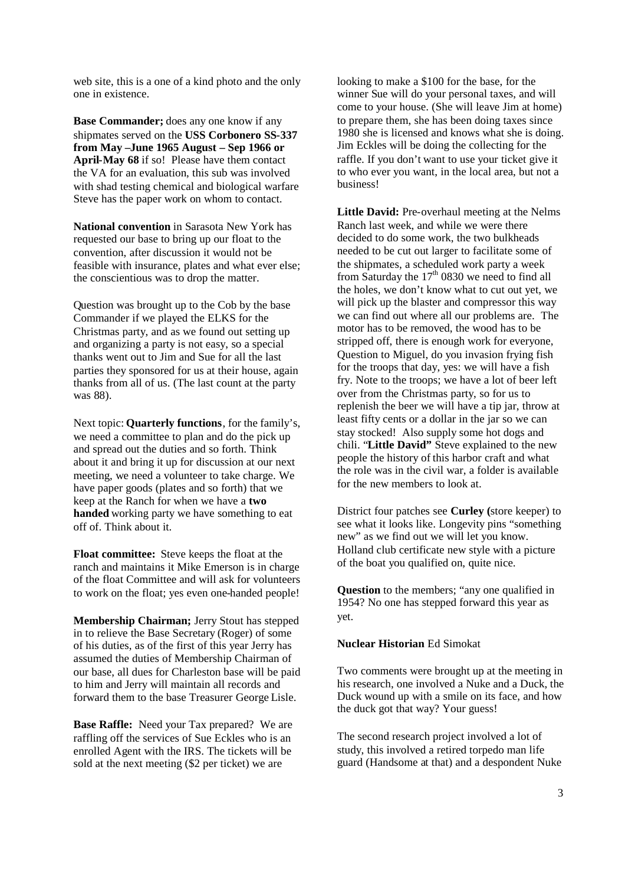web site, this is a one of a kind photo and the only one in existence.

**Base Commander;** does any one know if any shipmates served on the **USS Corbonero SS-337 from May –June 1965 August – Sep 1966 or April-May 68** if so! Please have them contact the VA for an evaluation, this sub was involved with shad testing chemical and biological warfare Steve has the paper work on whom to contact.

**National convention** in Sarasota New York has requested our base to bring up our float to the convention, after discussion it would not be feasible with insurance, plates and what ever else; the conscientious was to drop the matter.

Question was brought up to the Cob by the base Commander if we played the ELKS for the Christmas party, and as we found out setting up and organizing a party is not easy, so a special thanks went out to Jim and Sue for all the last parties they sponsored for us at their house, again thanks from all of us. (The last count at the party was 88).

Next topic: **Quarterly functions**, for the family's, we need a committee to plan and do the pick up and spread out the duties and so forth. Think about it and bring it up for discussion at our next meeting, we need a volunteer to take charge. We have paper goods (plates and so forth) that we keep at the Ranch for when we have a **two handed** working party we have something to eat off of. Think about it.

**Float committee:** Steve keeps the float at the ranch and maintains it Mike Emerson is in charge of the float Committee and will ask for volunteers to work on the float; yes even one-handed people!

**Membership Chairman;** Jerry Stout has stepped in to relieve the Base Secretary (Roger) of some of his duties, as of the first of this year Jerry has assumed the duties of Membership Chairman of our base, all dues for Charleston base will be paid to him and Jerry will maintain all records and forward them to the base Treasurer George Lisle.

**Base Raffle:** Need your Tax prepared? We are raffling off the services of Sue Eckles who is an enrolled Agent with the IRS. The tickets will be sold at the next meeting (\$2 per ticket) we are

looking to make a \$100 for the base, for the winner Sue will do your personal taxes, and will come to your house. (She will leave Jim at home) to prepare them, she has been doing taxes since 1980 she is licensed and knows what she is doing. Jim Eckles will be doing the collecting for the raffle. If you don't want to use your ticket give it to who ever you want, in the local area, but not a business!

**Little David:** Pre-overhaul meeting at the Nelms Ranch last week, and while we were there decided to do some work, the two bulkheads needed to be cut out larger to facilitate some of the shipmates, a scheduled work party a week from Saturday the  $17<sup>th</sup>$  0830 we need to find all the holes, we don't know what to cut out yet, we will pick up the blaster and compressor this way we can find out where all our problems are. The motor has to be removed, the wood has to be stripped off, there is enough work for everyone, Question to Miguel, do you invasion frying fish for the troops that day, yes: we will have a fish fry. Note to the troops; we have a lot of beer left over from the Christmas party, so for us to replenish the beer we will have a tip jar, throw at least fifty cents or a dollar in the jar so we can stay stocked! Also supply some hot dogs and chili. "**Little David"** Steve explained to the new people the history of this harbor craft and what the role was in the civil war, a folder is available for the new members to look at.

District four patches see **Curley (**store keeper) to see what it looks like. Longevity pins "something new" as we find out we will let you know. Holland club certificate new style with a picture of the boat you qualified on, quite nice.

**Question** to the members; "any one qualified in 1954? No one has stepped forward this year as yet.

#### **Nuclear Historian** Ed Simokat

Two comments were brought up at the meeting in his research, one involved a Nuke and a Duck, the Duck wound up with a smile on its face, and how the duck got that way? Your guess!

The second research project involved a lot of study, this involved a retired torpedo man life guard (Handsome at that) and a despondent Nuke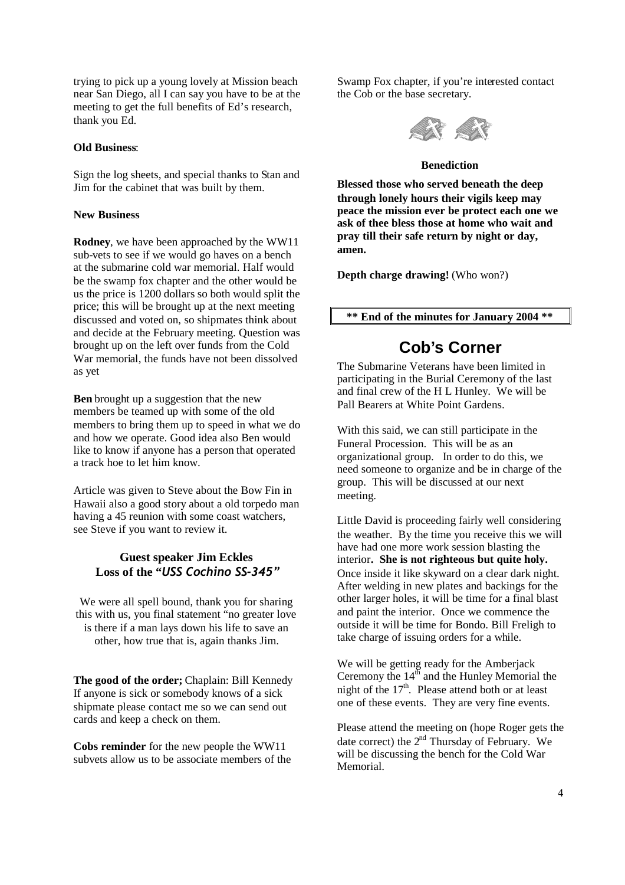trying to pick up a young lovely at Mission beach near San Diego, all I can say you have to be at the meeting to get the full benefits of Ed's research, thank you Ed.

## **Old Business**:

Sign the log sheets, and special thanks to Stan and Jim for the cabinet that was built by them.

## **New Business**

**Rodney**, we have been approached by the WW11 sub-vets to see if we would go haves on a bench at the submarine cold war memorial. Half would be the swamp fox chapter and the other would be us the price is 1200 dollars so both would split the price; this will be brought up at the next meeting discussed and voted on, so shipmates think about and decide at the February meeting. Question was brought up on the left over funds from the Cold War memorial, the funds have not been dissolved as yet

**Ben** brought up a suggestion that the new members be teamed up with some of the old members to bring them up to speed in what we do and how we operate. Good idea also Ben would like to know if anyone has a person that operated a track hoe to let him know.

Article was given to Steve about the Bow Fin in Hawaii also a good story about a old torpedo man having a 45 reunion with some coast watchers. see Steve if you want to review it.

# **Guest speaker Jim Eckles Loss of the "***USS Cochino SS-345"*

We were all spell bound, thank you for sharing this with us, you final statement "no greater love is there if a man lays down his life to save an other, how true that is, again thanks Jim.

**The good of the order;** Chaplain: Bill Kennedy If anyone is sick or somebody knows of a sick shipmate please contact me so we can send out cards and keep a check on them.

**Cobs reminder** for the new people the WW11 subvets allow us to be associate members of the Swamp Fox chapter, if you're interested contact the Cob or the base secretary.



#### **Benediction**

**Blessed those who served beneath the deep through lonely hours their vigils keep may peace the mission ever be protect each one we ask of thee bless those at home who wait and pray till their safe return by night or day, amen.**

**Depth charge drawing!** (Who won?)

**\*\* End of the minutes for January 2004 \*\***

# **Cob's Corner**

The Submarine Veterans have been limited in participating in the Burial Ceremony of the last and final crew of the H L Hunley. We will be Pall Bearers at White Point Gardens.

With this said, we can still participate in the Funeral Procession. This will be as an organizational group. In order to do this, we need someone to organize and be in charge of the group. This will be discussed at our next meeting.

Little David is proceeding fairly well considering the weather. By the time you receive this we will have had one more work session blasting the interior**. She is not righteous but quite holy.** Once inside it like skyward on a clear dark night. After welding in new plates and backings for the other larger holes, it will be time for a final blast and paint the interior. Once we commence the outside it will be time for Bondo. Bill Freligh to take charge of issuing orders for a while.

We will be getting ready for the Amberjack Ceremony the  $14<sup>th</sup>$  and the Hunley Memorial the night of the  $17<sup>th</sup>$ . Please attend both or at least one of these events. They are very fine events.

Please attend the meeting on (hope Roger gets the date correct) the  $2<sup>nd</sup>$  Thursday of February. We will be discussing the bench for the Cold War Memorial.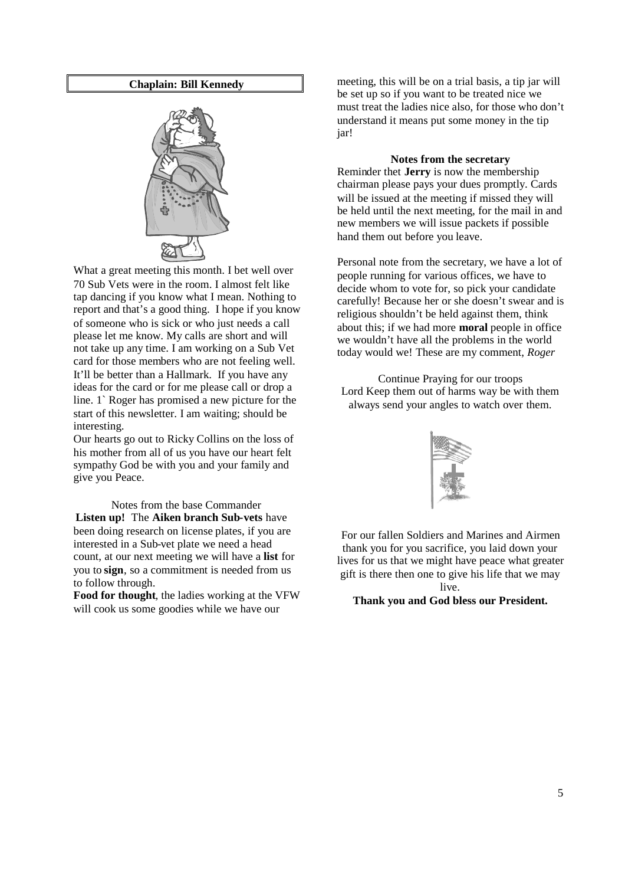#### **Chaplain: Bill Kennedy**



What a great meeting this month. I bet well over 70 Sub Vets were in the room. I almost felt like tap dancing if you know what I mean. Nothing to report and that's a good thing. I hope if you know of someone who is sick or who just needs a call please let me know. My calls are short and will not take up any time. I am working on a Sub Vet card for those members who are not feeling well. It'll be better than a Hallmark. If you have any ideas for the card or for me please call or drop a line. 1` Roger has promised a new picture for the start of this newsletter. I am waiting; should be interesting.

Our hearts go out to Ricky Collins on the loss of his mother from all of us you have our heart felt sympathy God be with you and your family and give you Peace.

Notes from the base Commander **Listen up!** The **Aiken branch Sub-vets** have been doing research on license plates, if you are interested in a Sub-vet plate we need a head count, at our next meeting we will have a **list** for you to **sign**, so a commitment is needed from us to follow through.

**Food for thought**, the ladies working at the VFW will cook us some goodies while we have our

meeting, this will be on a trial basis, a tip jar will be set up so if you want to be treated nice we must treat the ladies nice also, for those who don't understand it means put some money in the tip jar!

#### **Notes from the secretary**

Reminder thet **Jerry** is now the membership chairman please pays your dues promptly. Cards will be issued at the meeting if missed they will be held until the next meeting, for the mail in and new members we will issue packets if possible hand them out before you leave.

Personal note from the secretary, we have a lot of people running for various offices, we have to decide whom to vote for, so pick your candidate carefully! Because her or she doesn't swear and is religious shouldn't be held against them, think about this; if we had more **moral** people in office we wouldn't have all the problems in the world today would we! These are my comment, *Roger*

Continue Praying for our troops Lord Keep them out of harms way be with them always send your angles to watch over them.



For our fallen Soldiers and Marines and Airmen thank you for you sacrifice, you laid down your lives for us that we might have peace what greater gift is there then one to give his life that we may live.

**Thank you and God bless our President.**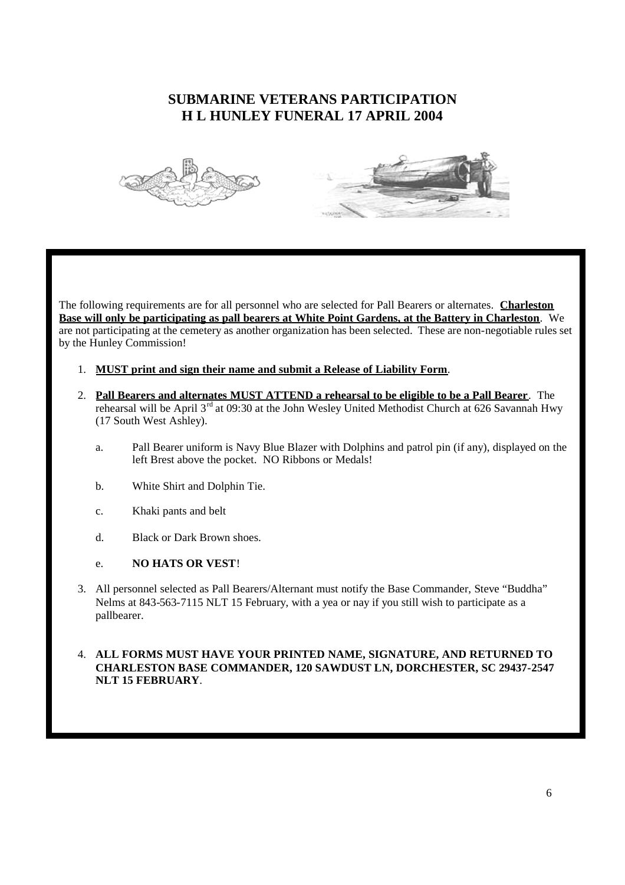# **SUBMARINE VETERANS PARTICIPATION H L HUNLEY FUNERAL 17 APRIL 2004**





The following requirements are for all personnel who are selected for Pall Bearers or alternates. **Charleston Base will only be participating as pall bearers at White Point Gardens, at the Battery in Charleston**. We are not participating at the cemetery as another organization has been selected. These are non-negotiable rules set by the Hunley Commission!

- 1. **MUST print and sign their name and submit a Release of Liability Form**.
- 2. **Pall Bearers and alternates MUST ATTEND a rehearsal to be eligible to be a Pall Bearer**. The rehearsal will be April 3<sup>rd</sup> at 09:30 at the John Wesley United Methodist Church at 626 Savannah Hwy (17 South West Ashley).
	- a. Pall Bearer uniform is Navy Blue Blazer with Dolphins and patrol pin (if any), displayed on the left Brest above the pocket. NO Ribbons or Medals!
	- b. White Shirt and Dolphin Tie.
	- c. Khaki pants and belt
	- d. Black or Dark Brown shoes.

## e. **NO HATS OR VEST**!

3. All personnel selected as Pall Bearers/Alternant must notify the Base Commander, Steve "Buddha" Nelms at 843-563-7115 NLT 15 February, with a yea or nay if you still wish to participate as a pallbearer.

## 4. **ALL FORMS MUST HAVE YOUR PRINTED NAME, SIGNATURE, AND RETURNED TO CHARLESTON BASE COMMANDER, 120 SAWDUST LN, DORCHESTER, SC 29437-2547 NLT 15 FEBRUARY**.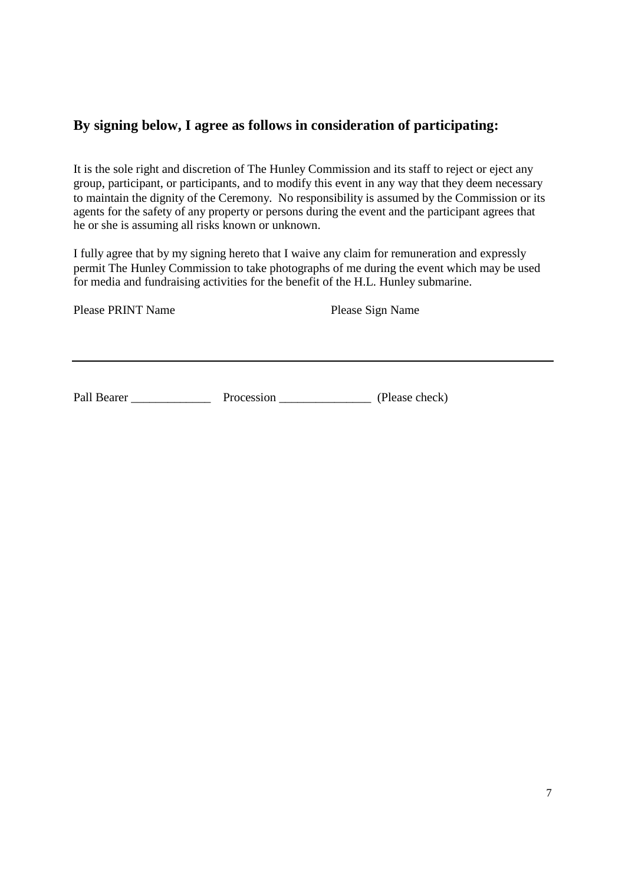# **By signing below, I agree as follows in consideration of participating:**

It is the sole right and discretion of The Hunley Commission and its staff to reject or eject any group, participant, or participants, and to modify this event in any way that they deem necessary to maintain the dignity of the Ceremony. No responsibility is assumed by the Commission or its agents for the safety of any property or persons during the event and the participant agrees that he or she is assuming all risks known or unknown.

I fully agree that by my signing hereto that I waive any claim for remuneration and expressly permit The Hunley Commission to take photographs of me during the event which may be used for media and fundraising activities for the benefit of the H.L. Hunley submarine.

Please PRINT Name Please Sign Name

Pall Bearer Procession Procession (Please check)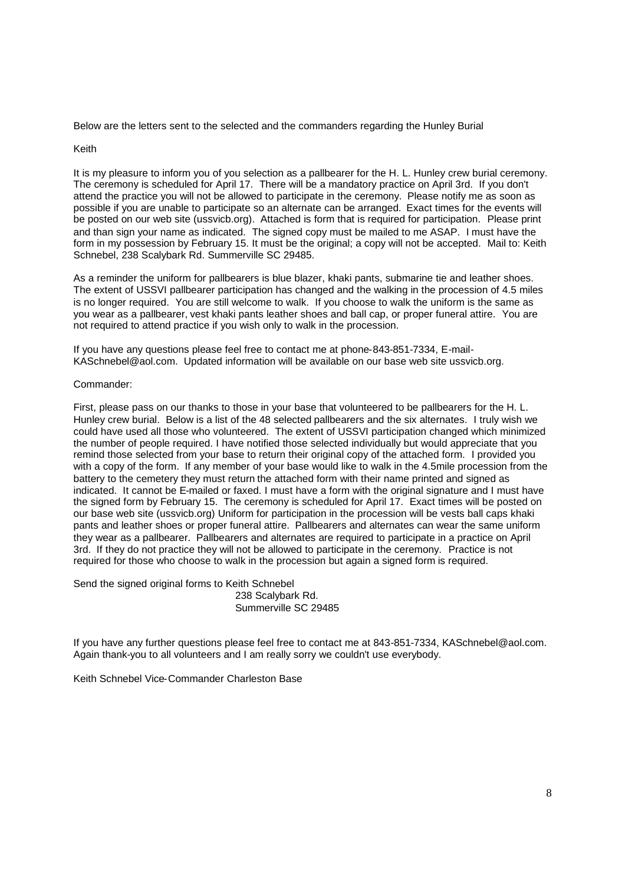Below are the letters sent to the selected and the commanders regarding the Hunley Burial

#### Keith

It is my pleasure to inform you of you selection as a pallbearer for the H. L. Hunley crew burial ceremony. The ceremony is scheduled for April 17. There will be a mandatory practice on April 3rd. If you don't attend the practice you will not be allowed to participate in the ceremony. Please notify me as soon as possible if you are unable to participate so an alternate can be arranged. Exact times for the events will be posted on our web site (ussvicb.org). Attached is form that is required for participation. Please print and than sign your name as indicated. The signed copy must be mailed to me ASAP. I must have the form in my possession by February 15. It must be the original; a copy will not be accepted. Mail to: Keith Schnebel, 238 Scalybark Rd. Summerville SC 29485.

As a reminder the uniform for pallbearers is blue blazer, khaki pants, submarine tie and leather shoes. The extent of USSVI pallbearer participation has changed and the walking in the procession of 4.5 miles is no longer required. You are still welcome to walk. If you choose to walk the uniform is the same as you wear as a pallbearer, vest khaki pants leather shoes and ball cap, or proper funeral attire. You are not required to attend practice if you wish only to walk in the procession.

If you have any questions please feel free to contact me at phone-843-851-7334, E-mail-KASchnebel@aol.com. Updated information will be available on our base web site ussvicb.org.

#### Commander:

First, please pass on our thanks to those in your base that volunteered to be pallbearers for the H. L. Hunley crew burial. Below is a list of the 48 selected pallbearers and the six alternates. I truly wish we could have used all those who volunteered. The extent of USSVI participation changed which minimized the number of people required. I have notified those selected individually but would appreciate that you remind those selected from your base to return their original copy of the attached form. I provided you with a copy of the form. If any member of your base would like to walk in the 4.5mile procession from the battery to the cemetery they must return the attached form with their name printed and signed as indicated. It cannot be E-mailed or faxed. I must have a form with the original signature and I must have the signed form by February 15. The ceremony is scheduled for April 17. Exact times will be posted on our base web site (ussvicb.org) Uniform for participation in the procession will be vests ball caps khaki pants and leather shoes or proper funeral attire. Pallbearers and alternates can wear the same uniform they wear as a pallbearer. Pallbearers and alternates are required to participate in a practice on April 3rd. If they do not practice they will not be allowed to participate in the ceremony. Practice is not required for those who choose to walk in the procession but again a signed form is required.

Send the signed original forms to Keith Schnebel

238 Scalybark Rd. Summerville SC 29485

If you have any further questions please feel free to contact me at 843-851-7334, KASchnebel@aol.com. Again thank-you to all volunteers and I am really sorry we couldn't use everybody.

Keith Schnebel Vice-Commander Charleston Base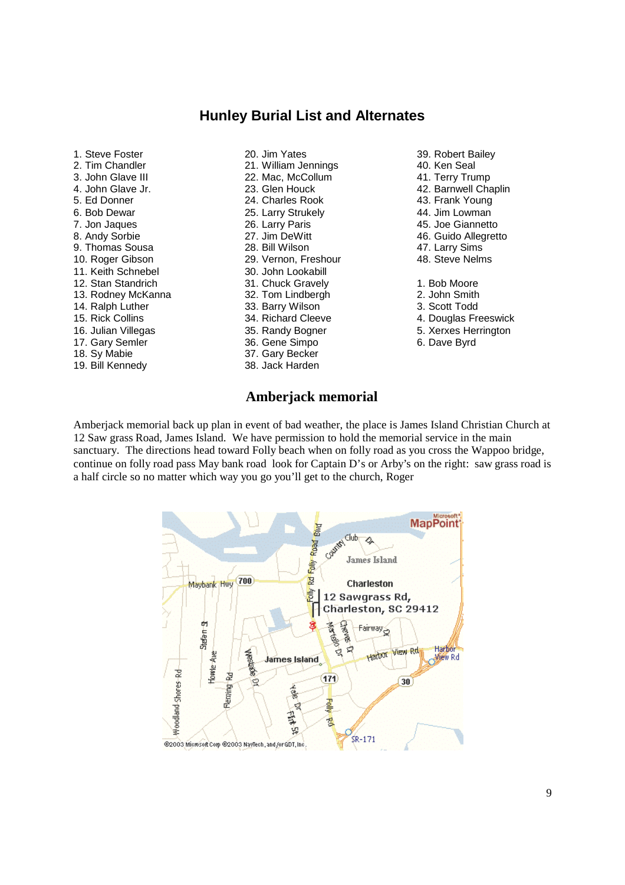# **Hunley Burial List and Alternates**

1. Steve Foster 2. Tim Chandler 3. John Glave III 4. John Glave Jr. 5. Ed Donner 6. Bob Dewar 7. Jon Jaques 8. Andy Sorbie 9. Thomas Sousa 10. Roger Gibson 11. Keith Schnebel 12. Stan Standrich 13. Rodney McKanna 14. Ralph Luther 15. Rick Collins 16. Julian Villegas 17. Gary Semler 18. Sy Mabie 19. Bill Kennedy

20. Jim Yates 21. William Jennings 22. Mac, McCollum 23. Glen Houck 24. Charles Rook 25. Larry Strukely 26. Larry Paris 27. Jim DeWitt 28. Bill Wilson 29. Vernon, Freshour 30. John Lookabill 31. Chuck Gravely 32. Tom Lindbergh 33. Barry Wilson 34. Richard Cleeve 35. Randy Bogner 36. Gene Simpo 37. Gary Becker 38. Jack Harden

- 39. Robert Bailey 40. Ken Seal 41. Terry Trump 42. Barnwell Chaplin 43. Frank Young 44. Jim Lowman 45. Joe Giannetto 46. Guido Allegretto 47. Larry Sims 48. Steve Nelms 1. Bob Moore 2. John Smith 3. Scott Todd 4. Douglas Freeswick
- 
- 5. Xerxes Herrington
- 6. Dave Byrd

# **Amberjack memorial**

Amberjack memorial back up plan in event of bad weather, the place is James Island Christian Church at 12 Saw grass Road, James Island. We have permission to hold the memorial service in the main sanctuary. The directions head toward Folly beach when on folly road as you cross the Wappoo bridge, continue on folly road pass May bank road look for Captain D's or Arby's on the right: saw grass road is a half circle so no matter which way you go you'll get to the church, Roger